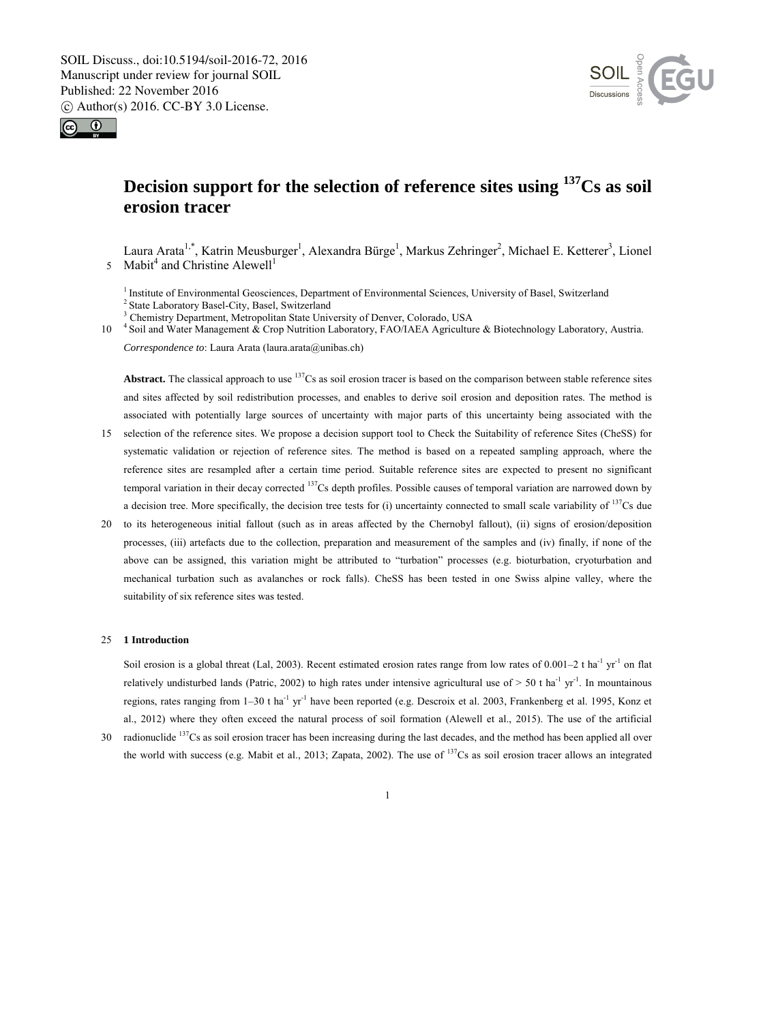



# **Decision support for the selection of reference sites using 137Cs as soil erosion tracer**

Laura Arata<sup>1,\*</sup>, Katrin Meusburger<sup>1</sup>, Alexandra Bürge<sup>1</sup>, Markus Zehringer<sup>2</sup>, Michael E. Ketterer<sup>3</sup>, Lionel 5 Mabit<sup>4</sup> and Christine Alewell<sup>1</sup>

<sup>1</sup> Institute of Environmental Geosciences, Department of Environmental Sciences, University of Basel, Switzerland <sup>2</sup> State Laboratory Basel-City, Basel, Switzerland

<sup>3</sup> Chemistry Department, Metropolitan State University of Denver, Colorado, USA

10 <sup>4</sup> Soil and Water Management & Crop Nutrition Laboratory, FAO/IAEA Agriculture & Biotechnology Laboratory, Austria. *Correspondence to*: Laura Arata (laura.arata@unibas.ch)

**Abstract.** The classical approach to use 137Cs as soil erosion tracer is based on the comparison between stable reference sites and sites affected by soil redistribution processes, and enables to derive soil erosion and deposition rates. The method is associated with potentially large sources of uncertainty with major parts of this uncertainty being associated with the

- 15 selection of the reference sites. We propose a decision support tool to Check the Suitability of reference Sites (CheSS) for systematic validation or rejection of reference sites. The method is based on a repeated sampling approach, where the reference sites are resampled after a certain time period. Suitable reference sites are expected to present no significant temporal variation in their decay corrected  $137Cs$  depth profiles. Possible causes of temporal variation are narrowed down by a decision tree. More specifically, the decision tree tests for (i) uncertainty connected to small scale variability of  $137Cs$  due
- 20 to its heterogeneous initial fallout (such as in areas affected by the Chernobyl fallout), (ii) signs of erosion/deposition processes, (iii) artefacts due to the collection, preparation and measurement of the samples and (iv) finally, if none of the above can be assigned, this variation might be attributed to "turbation" processes (e.g. bioturbation, cryoturbation and mechanical turbation such as avalanches or rock falls). CheSS has been tested in one Swiss alpine valley, where the suitability of six reference sites was tested.

#### 25 **1 Introduction**

Soil erosion is a global threat (Lal, 2003). Recent estimated erosion rates range from low rates of 0.001–2 t ha<sup>-1</sup> yr<sup>-1</sup> on flat relatively undisturbed lands (Patric, 2002) to high rates under intensive agricultural use of  $> 50$  t ha<sup>-1</sup> yr<sup>-1</sup>. In mountainous regions, rates ranging from  $1-30$  t ha<sup>-1</sup> yr<sup>-1</sup> have been reported (e.g. Descroix et al. 2003, Frankenberg et al. 1995, Konz et al., 2012) where they often exceed the natural process of soil formation (Alewell et al., 2015). The use of the artificial

30 radionuclide  $137$ Cs as soil erosion tracer has been increasing during the last decades, and the method has been applied all over the world with success (e.g. Mabit et al., 2013; Zapata, 2002). The use of 137Cs as soil erosion tracer allows an integrated

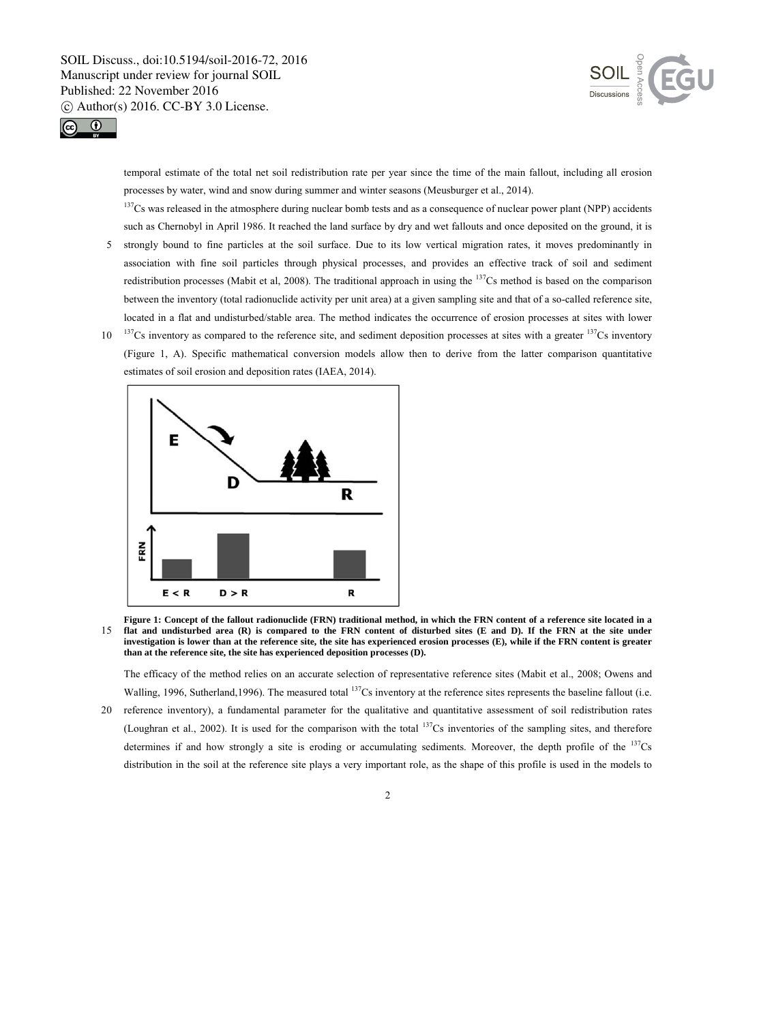



temporal estimate of the total net soil redistribution rate per year since the time of the main fallout, including all erosion processes by water, wind and snow during summer and winter seasons (Meusburger et al., 2014).

 $137Cs$  was released in the atmosphere during nuclear bomb tests and as a consequence of nuclear power plant (NPP) accidents such as Chernobyl in April 1986. It reached the land surface by dry and wet fallouts and once deposited on the ground, it is

- 5 strongly bound to fine particles at the soil surface. Due to its low vertical migration rates, it moves predominantly in association with fine soil particles through physical processes, and provides an effective track of soil and sediment redistribution processes (Mabit et al, 2008). The traditional approach in using the 137Cs method is based on the comparison between the inventory (total radionuclide activity per unit area) at a given sampling site and that of a so-called reference site, located in a flat and undisturbed/stable area. The method indicates the occurrence of erosion processes at sites with lower
- $10<sup>137</sup>Cs$  inventory as compared to the reference site, and sediment deposition processes at sites with a greater  $137Cs$  inventory (Figure 1, A). Specific mathematical conversion models allow then to derive from the latter comparison quantitative estimates of soil erosion and deposition rates (IAEA, 2014).



**Figure 1: Concept of the fallout radionuclide (FRN) traditional method, in which the FRN content of a reference site located in a**  15 **flat and undisturbed area (R) is compared to the FRN content of disturbed sites (E and D). If the FRN at the site under investigation is lower than at the reference site, the site has experienced erosion processes (E), while if the FRN content is greater than at the reference site, the site has experienced deposition processes (D).** 

The efficacy of the method relies on an accurate selection of representative reference sites (Mabit et al., 2008; Owens and Walling, 1996, Sutherland, 1996). The measured total <sup>137</sup>Cs inventory at the reference sites represents the baseline fallout (i.e.

20 reference inventory), a fundamental parameter for the qualitative and quantitative assessment of soil redistribution rates (Loughran et al., 2002). It is used for the comparison with the total 137Cs inventories of the sampling sites, and therefore determines if and how strongly a site is eroding or accumulating sediments. Moreover, the depth profile of the  $^{137}Cs$ distribution in the soil at the reference site plays a very important role, as the shape of this profile is used in the models to

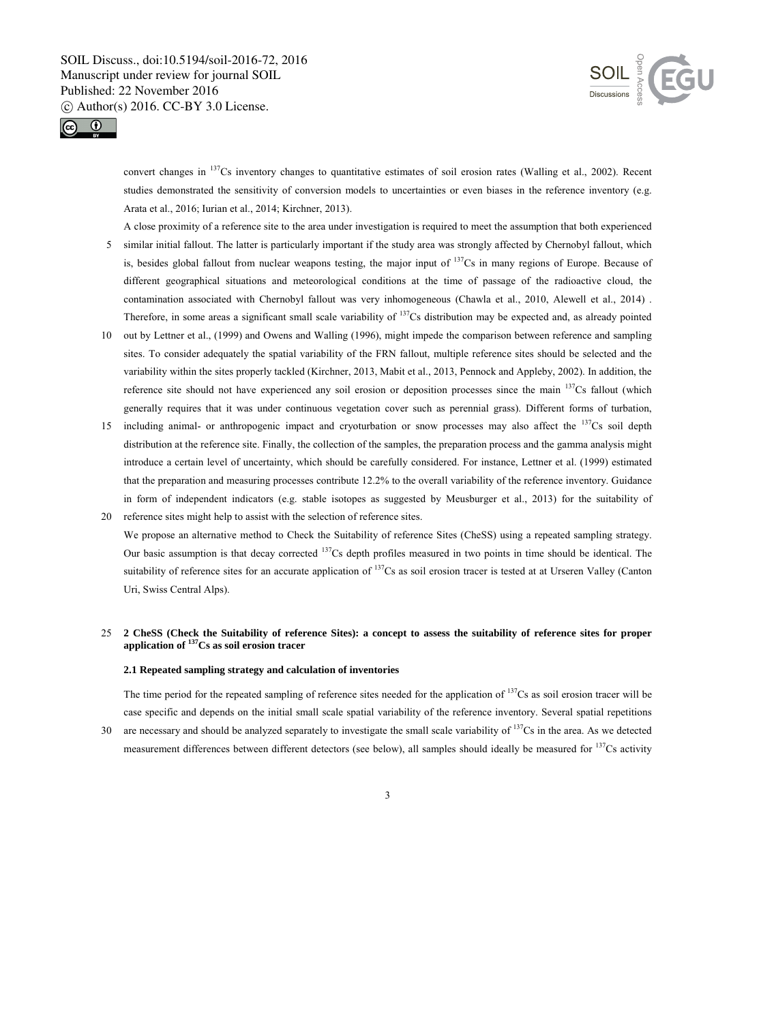



convert changes in <sup>137</sup>Cs inventory changes to quantitative estimates of soil erosion rates (Walling et al., 2002). Recent studies demonstrated the sensitivity of conversion models to uncertainties or even biases in the reference inventory (e.g. Arata et al., 2016; Iurian et al., 2014; Kirchner, 2013).

A close proximity of a reference site to the area under investigation is required to meet the assumption that both experienced

- 5 similar initial fallout. The latter is particularly important if the study area was strongly affected by Chernobyl fallout, which is, besides global fallout from nuclear weapons testing, the major input of  $137Cs$  in many regions of Europe. Because of different geographical situations and meteorological conditions at the time of passage of the radioactive cloud, the contamination associated with Chernobyl fallout was very inhomogeneous (Chawla et al., 2010, Alewell et al., 2014) . Therefore, in some areas a significant small scale variability of  $137Cs$  distribution may be expected and, as already pointed
- 10 out by Lettner et al., (1999) and Owens and Walling (1996), might impede the comparison between reference and sampling sites. To consider adequately the spatial variability of the FRN fallout, multiple reference sites should be selected and the variability within the sites properly tackled (Kirchner, 2013, Mabit et al., 2013, Pennock and Appleby, 2002). In addition, the reference site should not have experienced any soil erosion or deposition processes since the main  $137Cs$  fallout (which generally requires that it was under continuous vegetation cover such as perennial grass). Different forms of turbation,
- 15 including animal- or anthropogenic impact and cryoturbation or snow processes may also affect the  $^{137}Cs$  soil depth distribution at the reference site. Finally, the collection of the samples, the preparation process and the gamma analysis might introduce a certain level of uncertainty, which should be carefully considered. For instance, Lettner et al. (1999) estimated that the preparation and measuring processes contribute 12.2% to the overall variability of the reference inventory. Guidance in form of independent indicators (e.g. stable isotopes as suggested by Meusburger et al., 2013) for the suitability of
- 20 reference sites might help to assist with the selection of reference sites. We propose an alternative method to Check the Suitability of reference Sites (CheSS) using a repeated sampling strategy. Our basic assumption is that decay corrected  $137Cs$  depth profiles measured in two points in time should be identical. The suitability of reference sites for an accurate application of  $137Cs$  as soil erosion tracer is tested at at Urseren Valley (Canton Uri, Swiss Central Alps).

## 25 **2 CheSS (Check the Suitability of reference Sites): a concept to assess the suitability of reference sites for proper application of 137Cs as soil erosion tracer**

#### **2.1 Repeated sampling strategy and calculation of inventories**

The time period for the repeated sampling of reference sites needed for the application of  $137Cs$  as soil erosion tracer will be case specific and depends on the initial small scale spatial variability of the reference inventory. Several spatial repetitions

30 are necessary and should be analyzed separately to investigate the small scale variability of  $137Cs$  in the area. As we detected measurement differences between different detectors (see below), all samples should ideally be measured for <sup>137</sup>Cs activity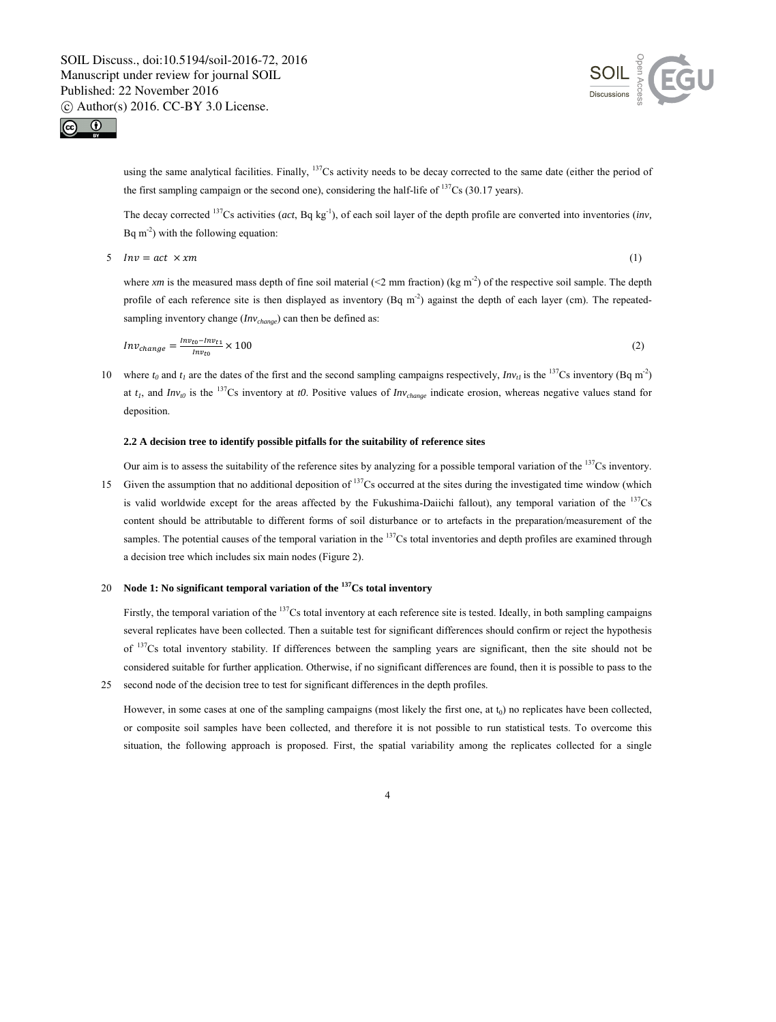



using the same analytical facilities. Finally, <sup>137</sup>Cs activity needs to be decay corrected to the same date (either the period of the first sampling campaign or the second one), considering the half-life of  $137Cs$  (30.17 years).

The decay corrected <sup>137</sup>Cs activities (*act*, Bq kg<sup>-1</sup>), of each soil layer of the depth profile are converted into inventories (*inv*, Bq  $m<sup>-2</sup>$ ) with the following equation:

 $5 \quad Inv = act \times xm$  (1)

where *xm* is the measured mass depth of fine soil material (<2 mm fraction) (kg m<sup>-2</sup>) of the respective soil sample. The depth profile of each reference site is then displayed as inventory  $(Bq \text{ m}^2)$  against the depth of each layer (cm). The repeatedsampling inventory change ( $Inv_{change}$ ) can then be defined as:

$$
Inv_{change} = \frac{Inv_{to} - Inv_{t1}}{Inv_{to}} \times 100
$$
 (2)

10 where  $t_0$  and  $t_1$  are the dates of the first and the second sampling campaigns respectively,  $Inv_{tt}$  is the <sup>137</sup>Cs inventory (Bq m<sup>-2</sup>) at  $t_1$ , and  $Inv_{r0}$  is the <sup>137</sup>Cs inventory at *t0*. Positive values of  $Inv_{change}$  indicate erosion, whereas negative values stand for deposition.

#### **2.2 A decision tree to identify possible pitfalls for the suitability of reference sites**

Our aim is to assess the suitability of the reference sites by analyzing for a possible temporal variation of the  $137Cs$  inventory. 15 Given the assumption that no additional deposition of  $137$ Cs occurred at the sites during the investigated time window (which is valid worldwide except for the areas affected by the Fukushima-Daiichi fallout), any temporal variation of the  $137Cs$ content should be attributable to different forms of soil disturbance or to artefacts in the preparation/measurement of the samples. The potential causes of the temporal variation in the  $137Cs$  total inventories and depth profiles are examined through a decision tree which includes six main nodes (Figure 2).

## 20 **Node 1: No significant temporal variation of the <sup>137</sup>Cs total inventory**

Firstly, the temporal variation of the  $^{137}Cs$  total inventory at each reference site is tested. Ideally, in both sampling campaigns several replicates have been collected. Then a suitable test for significant differences should confirm or reject the hypothesis of 137Cs total inventory stability. If differences between the sampling years are significant, then the site should not be considered suitable for further application. Otherwise, if no significant differences are found, then it is possible to pass to the 25 second node of the decision tree to test for significant differences in the depth profiles.

However, in some cases at one of the sampling campaigns (most likely the first one, at  $t_0$ ) no replicates have been collected, or composite soil samples have been collected, and therefore it is not possible to run statistical tests. To overcome this situation, the following approach is proposed. First, the spatial variability among the replicates collected for a single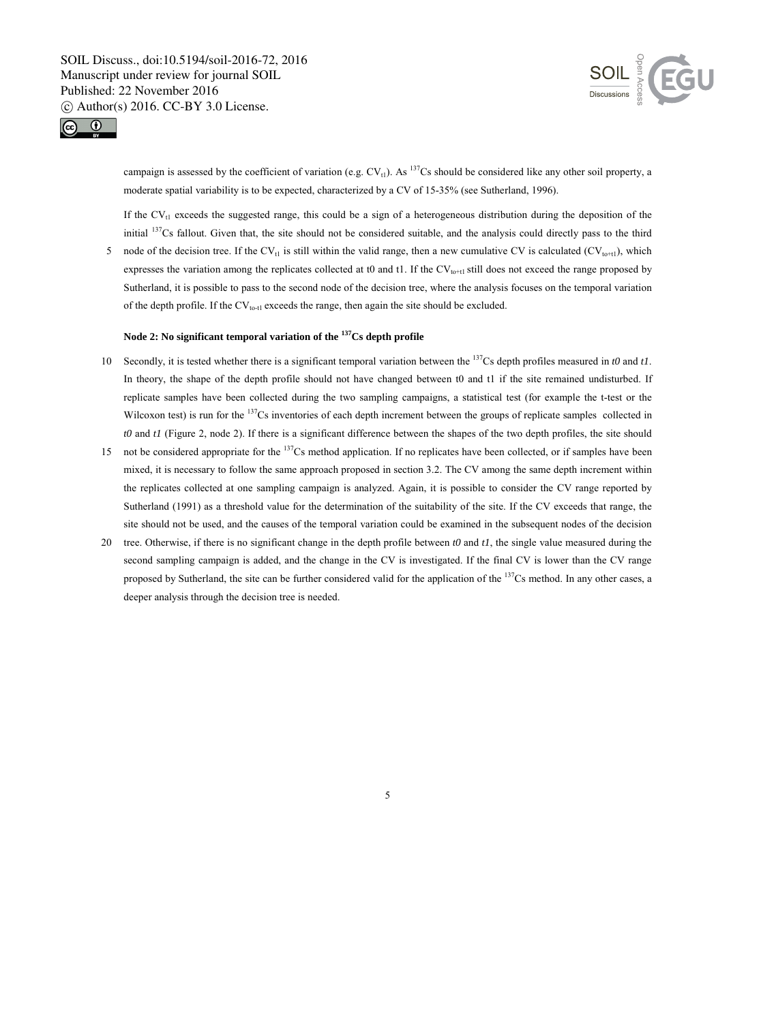



campaign is assessed by the coefficient of variation (e.g.  $CV_{t1}$ ). As <sup>137</sup>Cs should be considered like any other soil property, a moderate spatial variability is to be expected, characterized by a CV of 15-35% (see Sutherland, 1996).

If the  $CV_{11}$  exceeds the suggested range, this could be a sign of a heterogeneous distribution during the deposition of the initial 137Cs fallout. Given that, the site should not be considered suitable, and the analysis could directly pass to the third

5 node of the decision tree. If the CV<sub>t1</sub> is still within the valid range, then a new cumulative CV is calculated (CV<sub>to+t1</sub>), which expresses the variation among the replicates collected at t0 and t1. If the  $CV_{tot1}$  still does not exceed the range proposed by Sutherland, it is possible to pass to the second node of the decision tree, where the analysis focuses on the temporal variation of the depth profile. If the  $CV_{\text{tot1}}$  exceeds the range, then again the site should be excluded.

## **Node 2: No significant temporal variation of the 137Cs depth profile**

- 10 Secondly, it is tested whether there is a significant temporal variation between the <sup>137</sup>Cs depth profiles measured in  $t0$  and  $t1$ . In theory, the shape of the depth profile should not have changed between t0 and t1 if the site remained undisturbed. If replicate samples have been collected during the two sampling campaigns, a statistical test (for example the t-test or the Wilcoxon test) is run for the <sup>137</sup>Cs inventories of each depth increment between the groups of replicate samples collected in *t0* and *t1* (Figure 2, node 2). If there is a significant difference between the shapes of the two depth profiles, the site should
- 15 not be considered appropriate for the  $137$ Cs method application. If no replicates have been collected, or if samples have been mixed, it is necessary to follow the same approach proposed in section 3.2. The CV among the same depth increment within the replicates collected at one sampling campaign is analyzed. Again, it is possible to consider the CV range reported by Sutherland (1991) as a threshold value for the determination of the suitability of the site. If the CV exceeds that range, the site should not be used, and the causes of the temporal variation could be examined in the subsequent nodes of the decision
- 20 tree. Otherwise, if there is no significant change in the depth profile between *t0* and *t1*, the single value measured during the second sampling campaign is added, and the change in the CV is investigated. If the final CV is lower than the CV range proposed by Sutherland, the site can be further considered valid for the application of the <sup>137</sup>Cs method. In any other cases, a deeper analysis through the decision tree is needed.

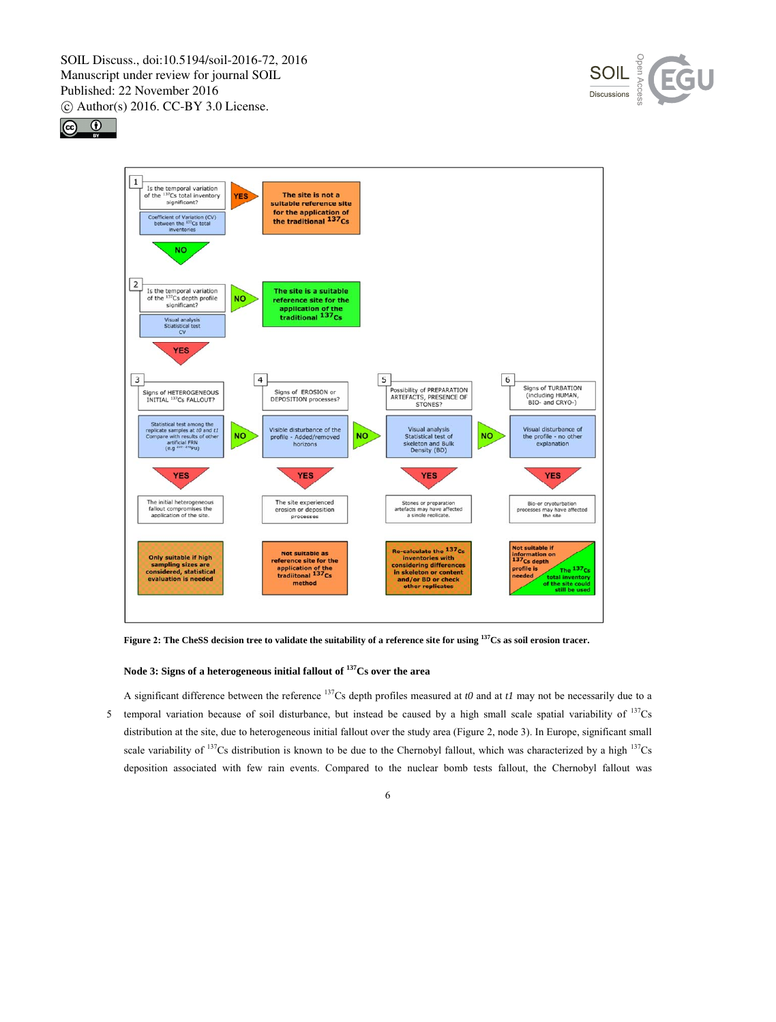





**Figure 2: The CheSS decision tree to validate the suitability of a reference site for using <sup>137</sup>Cs as soil erosion tracer.** 

**Node 3: Signs of a heterogeneous initial fallout of 137Cs over the area** 

A significant difference between the reference  $137$ Cs depth profiles measured at *t0* and at *t1* may not be necessarily due to a 5 temporal variation because of soil disturbance, but instead be caused by a high small scale spatial variability of  $137$ Cs distribution at the site, due to heterogeneous initial fallout over the study area (Figure 2, node 3). In Europe, significant small scale variability of <sup>137</sup>Cs distribution is known to be due to the Chernobyl fallout, which was characterized by a high <sup>137</sup>Cs deposition associated with few rain events. Compared to the nuclear bomb tests fallout, the Chernobyl fallout was

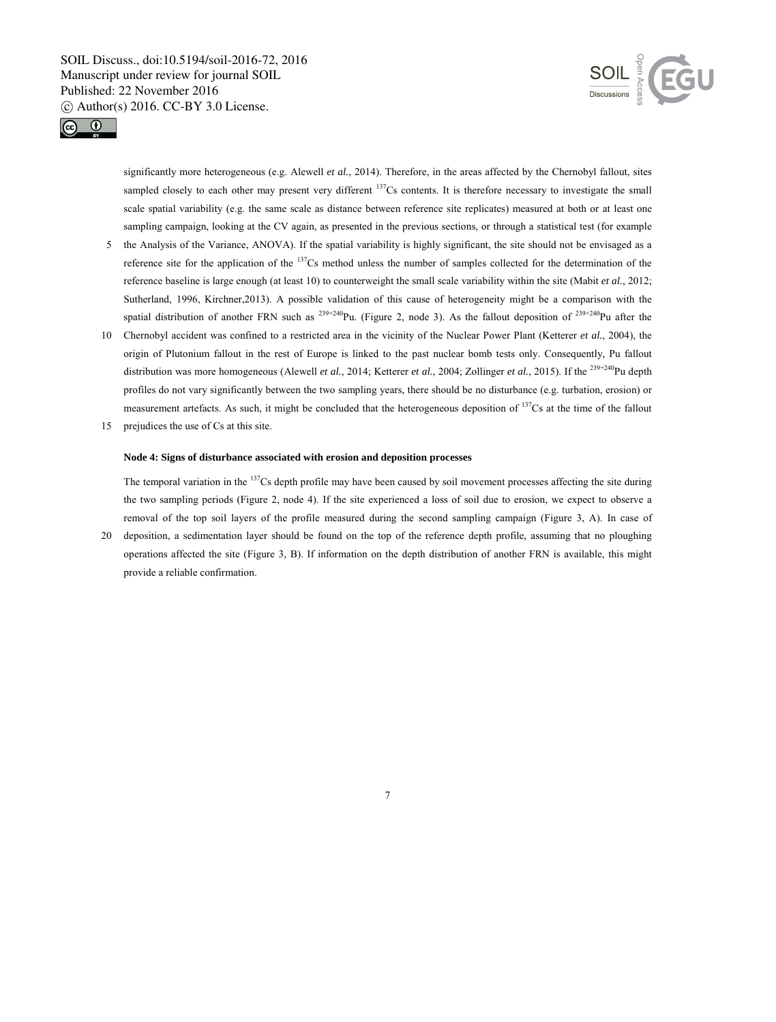



significantly more heterogeneous (e.g. Alewell *et al.*, 2014). Therefore, in the areas affected by the Chernobyl fallout, sites sampled closely to each other may present very different  $137Cs$  contents. It is therefore necessary to investigate the small scale spatial variability (e.g. the same scale as distance between reference site replicates) measured at both or at least one sampling campaign, looking at the CV again, as presented in the previous sections, or through a statistical test (for example

- 5 the Analysis of the Variance, ANOVA). If the spatial variability is highly significant, the site should not be envisaged as a reference site for the application of the 137Cs method unless the number of samples collected for the determination of the reference baseline is large enough (at least 10) to counterweight the small scale variability within the site (Mabit *et al.*, 2012; Sutherland, 1996, Kirchner,2013). A possible validation of this cause of heterogeneity might be a comparison with the spatial distribution of another FRN such as  $^{239+240}$ Pu. (Figure 2, node 3). As the fallout deposition of  $^{239+240}$ Pu after the
- 10 Chernobyl accident was confined to a restricted area in the vicinity of the Nuclear Power Plant (Ketterer *et al.*, 2004), the origin of Plutonium fallout in the rest of Europe is linked to the past nuclear bomb tests only. Consequently, Pu fallout distribution was more homogeneous (Alewell *et al.*, 2014; Ketterer *et al.*, 2004; Zollinger *et al.*, 2015). If the <sup>239+240</sup>Pu depth profiles do not vary significantly between the two sampling years, there should be no disturbance (e.g. turbation, erosion) or measurement artefacts. As such, it might be concluded that the heterogeneous deposition of <sup>137</sup>Cs at the time of the fallout
- 15 prejudices the use of Cs at this site.

#### **Node 4: Signs of disturbance associated with erosion and deposition processes**

The temporal variation in the <sup>137</sup>Cs depth profile may have been caused by soil movement processes affecting the site during the two sampling periods (Figure 2, node 4). If the site experienced a loss of soil due to erosion, we expect to observe a removal of the top soil layers of the profile measured during the second sampling campaign (Figure 3, A). In case of

7

20 deposition, a sedimentation layer should be found on the top of the reference depth profile, assuming that no ploughing operations affected the site (Figure 3, B). If information on the depth distribution of another FRN is available, this might provide a reliable confirmation.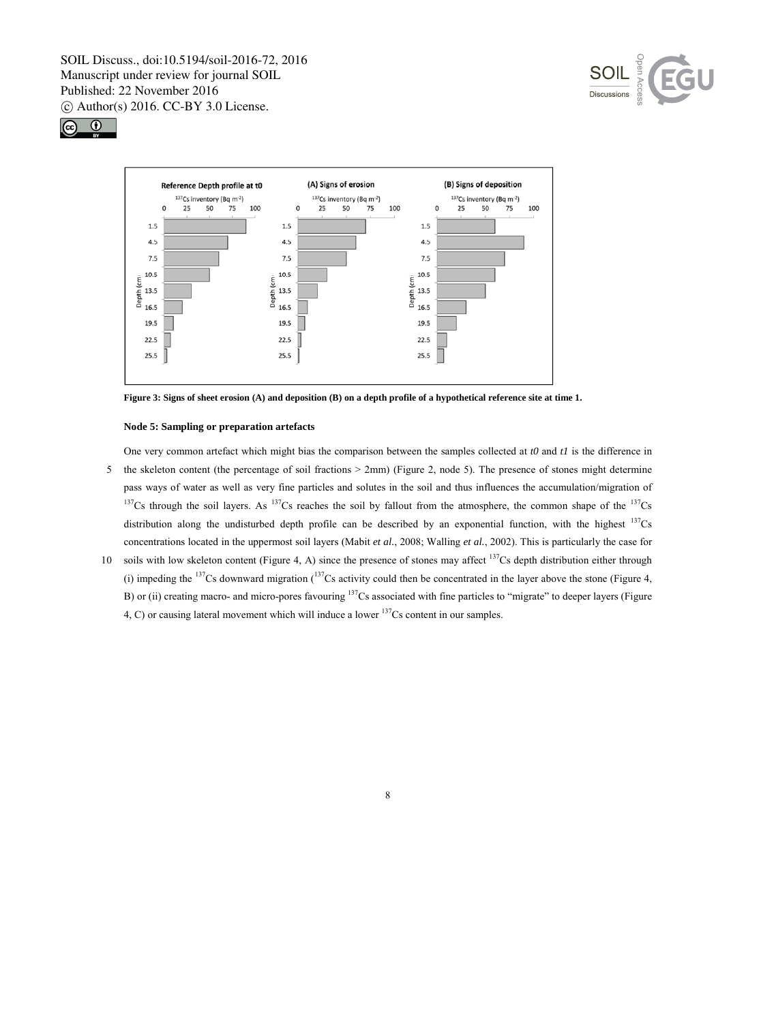





**Figure 3: Signs of sheet erosion (A) and deposition (B) on a depth profile of a hypothetical reference site at time 1.** 

## **Node 5: Sampling or preparation artefacts**

One very common artefact which might bias the comparison between the samples collected at *t0* and *t1* is the difference in 5 the skeleton content (the percentage of soil fractions  $> 2 \text{mm}$ ) (Figure 2, node 5). The presence of stones might determine pass ways of water as well as very fine particles and solutes in the soil and thus influences the accumulation/migration of  $137Cs$  through the soil layers. As  $137Cs$  reaches the soil by fallout from the atmosphere, the common shape of the  $137Cs$ distribution along the undisturbed depth profile can be described by an exponential function, with the highest  $^{137}Cs$ concentrations located in the uppermost soil layers (Mabit *et al.*, 2008; Walling *et al.*, 2002). This is particularly the case for

10 soils with low skeleton content (Figure 4, A) since the presence of stones may affect  $137Cs$  depth distribution either through (i) impeding the  $137$ Cs downward migration  $(137)$ Cs activity could then be concentrated in the layer above the stone (Figure 4, B) or (ii) creating macro- and micro-pores favouring <sup>137</sup>Cs associated with fine particles to "migrate" to deeper layers (Figure 4, C) or causing lateral movement which will induce a lower  $137Cs$  content in our samples.

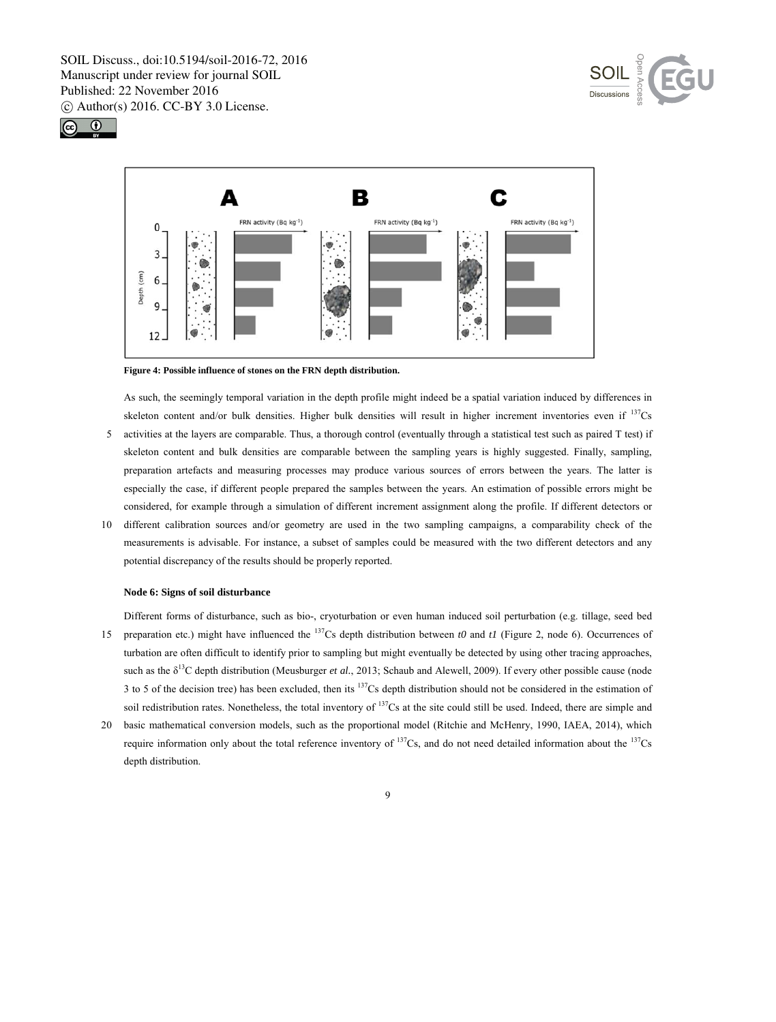





**Figure 4: Possible influence of stones on the FRN depth distribution.** 

As such, the seemingly temporal variation in the depth profile might indeed be a spatial variation induced by differences in skeleton content and/or bulk densities. Higher bulk densities will result in higher increment inventories even if  $137$ Cs

- 5 activities at the layers are comparable. Thus, a thorough control (eventually through a statistical test such as paired T test) if skeleton content and bulk densities are comparable between the sampling years is highly suggested. Finally, sampling, preparation artefacts and measuring processes may produce various sources of errors between the years. The latter is especially the case, if different people prepared the samples between the years. An estimation of possible errors might be considered, for example through a simulation of different increment assignment along the profile. If different detectors or
- 10 different calibration sources and/or geometry are used in the two sampling campaigns, a comparability check of the measurements is advisable. For instance, a subset of samples could be measured with the two different detectors and any potential discrepancy of the results should be properly reported.

#### **Node 6: Signs of soil disturbance**

Different forms of disturbance, such as bio-, cryoturbation or even human induced soil perturbation (e.g. tillage, seed bed 15 preparation etc.) might have influenced the <sup>137</sup>Cs depth distribution between *t0* and *t1* (Figure 2, node 6). Occurrences of turbation are often difficult to identify prior to sampling but might eventually be detected by using other tracing approaches, such as the  $\delta^{13}$ C depth distribution (Meusburger *et al.*, 2013; Schaub and Alewell, 2009). If every other possible cause (node 3 to 5 of the decision tree) has been excluded, then its  $137Cs$  depth distribution should not be considered in the estimation of

20 basic mathematical conversion models, such as the proportional model (Ritchie and McHenry, 1990, IAEA, 2014), which require information only about the total reference inventory of <sup>137</sup>Cs, and do not need detailed information about the <sup>137</sup>Cs depth distribution.

soil redistribution rates. Nonetheless, the total inventory of  $137Cs$  at the site could still be used. Indeed, there are simple and

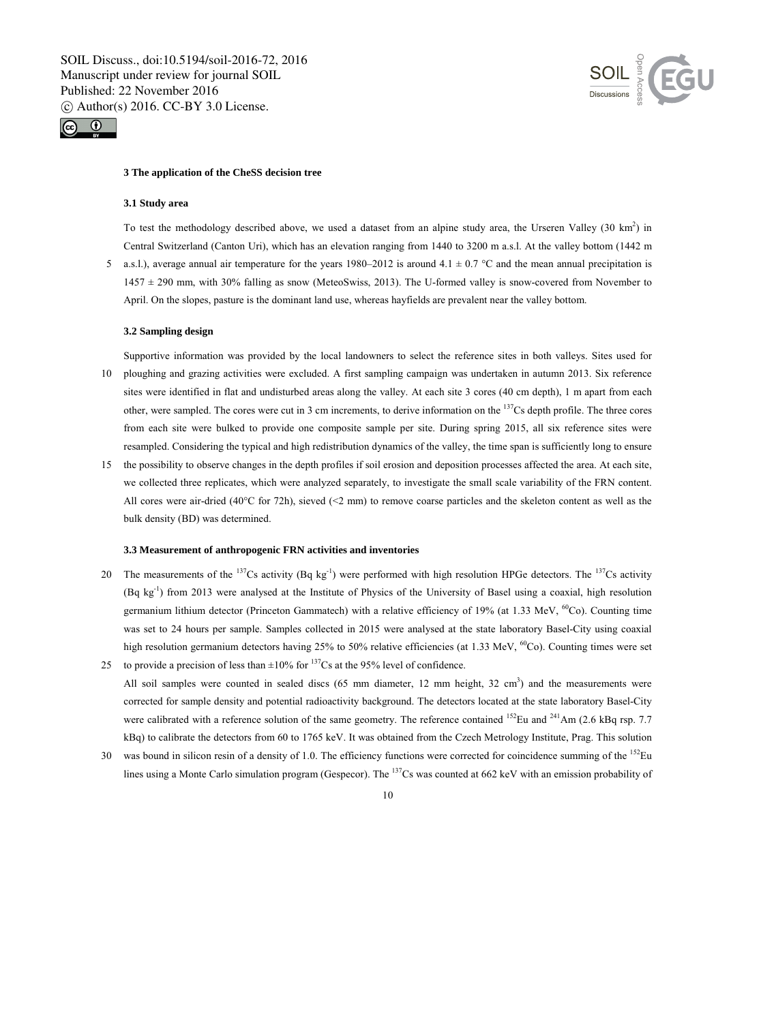



#### **3 The application of the CheSS decision tree**

#### **3.1 Study area**

To test the methodology described above, we used a dataset from an alpine study area, the Urseren Valley  $(30 \text{ km}^2)$  in Central Switzerland (Canton Uri), which has an elevation ranging from 1440 to 3200 m a.s.l. At the valley bottom (1442 m

5 a.s.l.), average annual air temperature for the years 1980–2012 is around 4.1  $\pm$  0.7 °C and the mean annual precipitation is 1457 ± 290 mm, with 30% falling as snow (MeteoSwiss, 2013). The U-formed valley is snow-covered from November to April. On the slopes, pasture is the dominant land use, whereas hayfields are prevalent near the valley bottom.

#### **3.2 Sampling design**

Supportive information was provided by the local landowners to select the reference sites in both valleys. Sites used for 10 ploughing and grazing activities were excluded. A first sampling campaign was undertaken in autumn 2013. Six reference sites were identified in flat and undisturbed areas along the valley. At each site 3 cores (40 cm depth), 1 m apart from each other, were sampled. The cores were cut in 3 cm increments, to derive information on the  $137Cs$  depth profile. The three cores

from each site were bulked to provide one composite sample per site. During spring 2015, all six reference sites were resampled. Considering the typical and high redistribution dynamics of the valley, the time span is sufficiently long to ensure

15 the possibility to observe changes in the depth profiles if soil erosion and deposition processes affected the area. At each site, we collected three replicates, which were analyzed separately, to investigate the small scale variability of the FRN content. All cores were air-dried (40°C for 72h), sieved (<2 mm) to remove coarse particles and the skeleton content as well as the bulk density (BD) was determined.

#### **3.3 Measurement of anthropogenic FRN activities and inventories**

- 20 The measurements of the  $137Cs$  activity (Bq kg<sup>-1</sup>) were performed with high resolution HPGe detectors. The  $137Cs$  activity (Bq kg-1) from 2013 were analysed at the Institute of Physics of the University of Basel using a coaxial, high resolution germanium lithium detector (Princeton Gammatech) with a relative efficiency of 19% (at 1.33 MeV, <sup>60</sup>Co). Counting time was set to 24 hours per sample. Samples collected in 2015 were analysed at the state laboratory Basel-City using coaxial high resolution germanium detectors having 25% to 50% relative efficiencies (at 1.33 MeV,  ${}^{60}$ Co). Counting times were set 25 to provide a precision of less than  $\pm 10\%$  for <sup>137</sup>Cs at the 95% level of confidence.
- All soil samples were counted in sealed discs (65 mm diameter, 12 mm height, 32 cm<sup>3</sup>) and the measurements were corrected for sample density and potential radioactivity background. The detectors located at the state laboratory Basel-City were calibrated with a reference solution of the same geometry. The reference contained  $^{152}$ Eu and  $^{241}$ Am (2.6 kBq rsp. 7.7 kBq) to calibrate the detectors from 60 to 1765 keV. It was obtained from the Czech Metrology Institute, Prag. This solution
- 30 was bound in silicon resin of a density of 1.0. The efficiency functions were corrected for coincidence summing of the  $152$ Eu lines using a Monte Carlo simulation program (Gespecor). The 137Cs was counted at 662 keV with an emission probability of

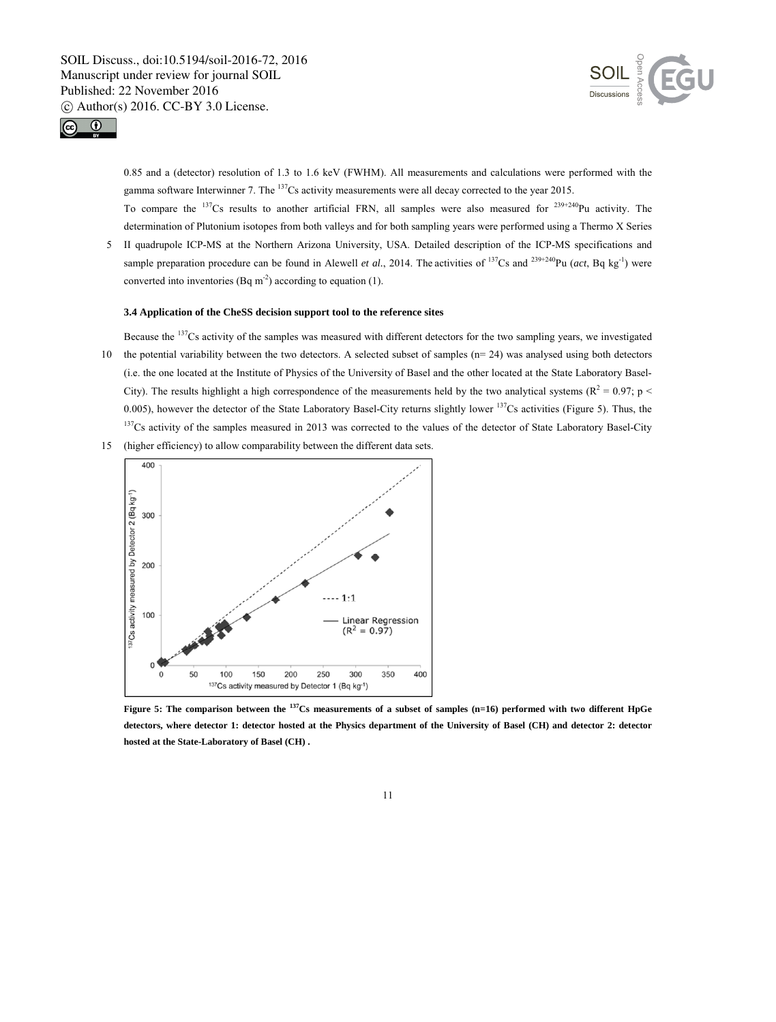



0.85 and a (detector) resolution of 1.3 to 1.6 keV (FWHM). All measurements and calculations were performed with the gamma software Interwinner 7. The <sup>137</sup>Cs activity measurements were all decay corrected to the year 2015.

To compare the  $137Cs$  results to another artificial FRN, all samples were also measured for  $239+240$ Pu activity. The determination of Plutonium isotopes from both valleys and for both sampling years were performed using a Thermo X Series

5 II quadrupole ICP-MS at the Northern Arizona University, USA. Detailed description of the ICP-MS specifications and sample preparation procedure can be found in Alewell *et al.*, 2014. The activities of  $^{137}Cs$  and  $^{239+240}Pu$  (*act*, Bq kg<sup>-1</sup>) were converted into inventories (Bq m<sup>-2</sup>) according to equation (1).

## **3.4 Application of the CheSS decision support tool to the reference sites**

- Because the 137Cs activity of the samples was measured with different detectors for the two sampling years, we investigated 10 the potential variability between the two detectors. A selected subset of samples (n= 24) was analysed using both detectors (i.e. the one located at the Institute of Physics of the University of Basel and the other located at the State Laboratory Basel-City). The results highlight a high correspondence of the measurements held by the two analytical systems ( $R^2 = 0.97$ ; p < 0.005), however the detector of the State Laboratory Basel-City returns slightly lower  $^{137}$ Cs activities (Figure 5). Thus, the  $137Cs$  activity of the samples measured in 2013 was corrected to the values of the detector of State Laboratory Basel-City
- 15 (higher efficiency) to allow comparability between the different data sets.



**Figure 5: The comparison between the 137Cs measurements of a subset of samples (n=16) performed with two different HpGe detectors, where detector 1: detector hosted at the Physics department of the University of Basel (CH) and detector 2: detector hosted at the State-Laboratory of Basel (CH) .**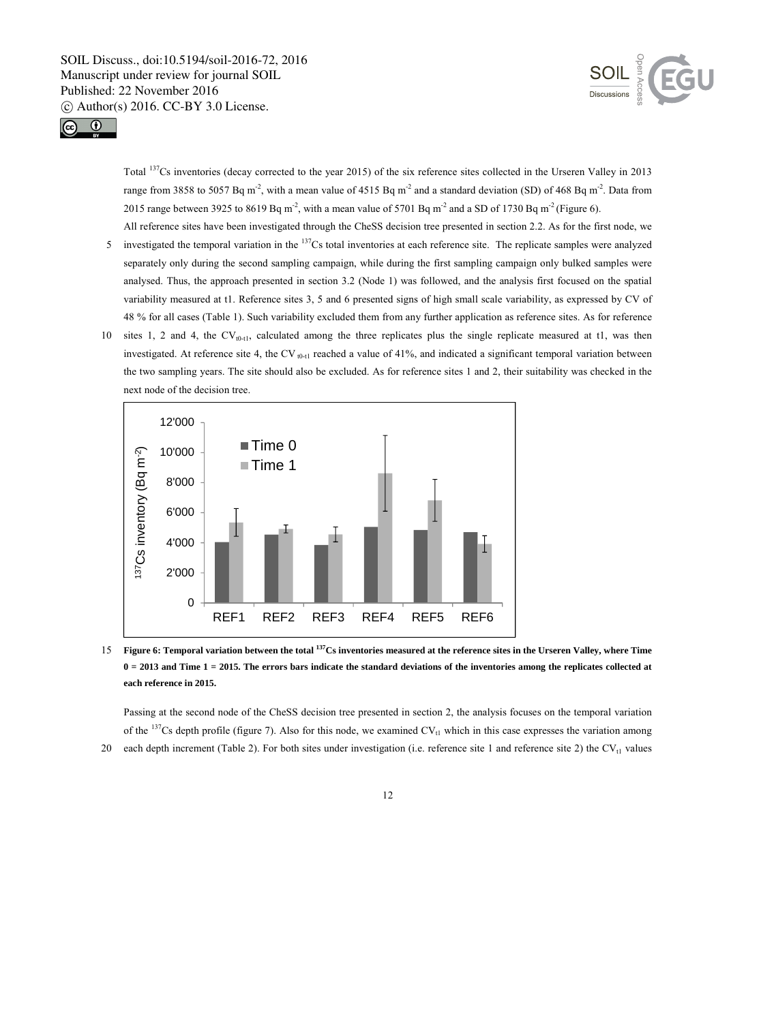



Total 137Cs inventories (decay corrected to the year 2015) of the six reference sites collected in the Urseren Valley in 2013 range from 3858 to 5057 Bq m<sup>-2</sup>, with a mean value of 4515 Bq m<sup>-2</sup> and a standard deviation (SD) of 468 Bq m<sup>-2</sup>. Data from 2015 range between 3925 to 8619 Bq m<sup>-2</sup>, with a mean value of 5701 Bq m<sup>-2</sup> and a SD of 1730 Bq m<sup>-2</sup> (Figure 6).

All reference sites have been investigated through the CheSS decision tree presented in section 2.2. As for the first node, we

- 5 investigated the temporal variation in the <sup>137</sup>Cs total inventories at each reference site. The replicate samples were analyzed separately only during the second sampling campaign, while during the first sampling campaign only bulked samples were analysed. Thus, the approach presented in section 3.2 (Node 1) was followed, and the analysis first focused on the spatial variability measured at t1. Reference sites 3, 5 and 6 presented signs of high small scale variability, as expressed by CV of 48 % for all cases (Table 1). Such variability excluded them from any further application as reference sites. As for reference
- 10 sites 1, 2 and 4, the CV<sub>t0-t1</sub>, calculated among the three replicates plus the single replicate measured at t1, was then investigated. At reference site 4, the CV  $_{0.11}$  reached a value of 41%, and indicated a significant temporal variation between the two sampling years. The site should also be excluded. As for reference sites 1 and 2, their suitability was checked in the next node of the decision tree.



15 Figure 6: Temporal variation between the total <sup>137</sup>Cs inventories measured at the reference sites in the Urseren Valley, where Time **0 = 2013 and Time 1 = 2015. The errors bars indicate the standard deviations of the inventories among the replicates collected at each reference in 2015.** 

Passing at the second node of the CheSS decision tree presented in section 2, the analysis focuses on the temporal variation of the  $137Cs$  depth profile (figure 7). Also for this node, we examined CV<sub>t1</sub> which in this case expresses the variation among 20 each depth increment (Table 2). For both sites under investigation (i.e. reference site 1 and reference site 2) the  $CV_{t1}$  values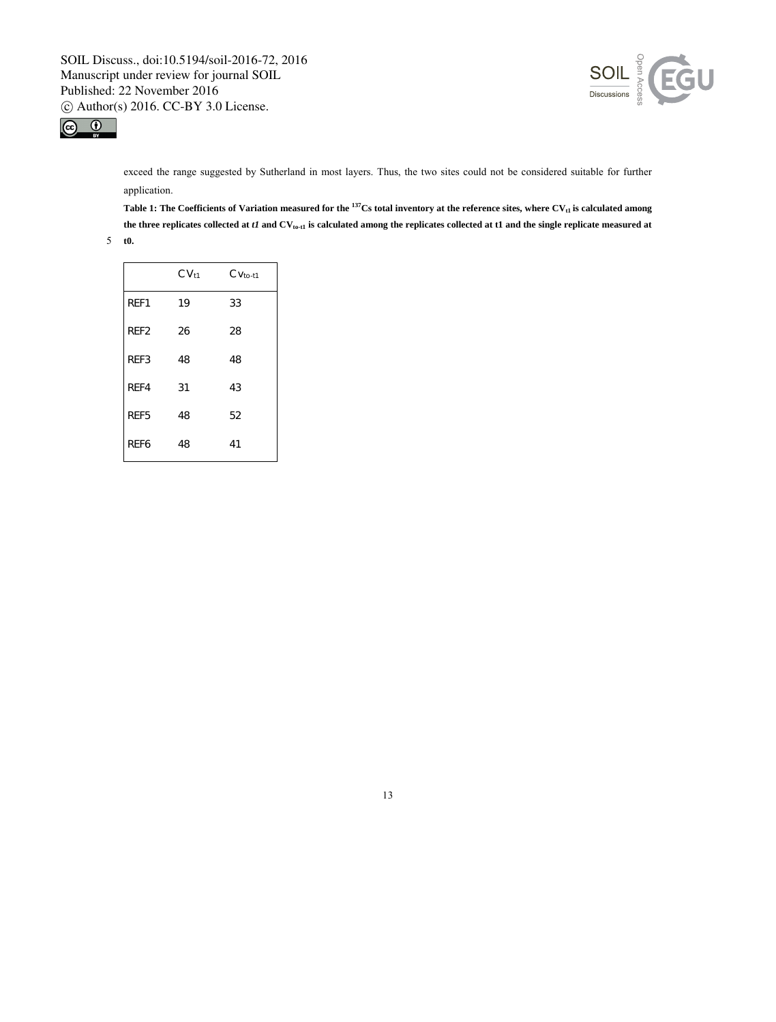



exceed the range suggested by Sutherland in most layers. Thus, the two sites could not be considered suitable for further application.

Table 1: The Coefficients of Variation measured for the <sup>137</sup>Cs total inventory at the reference sites, where CV<sub>t1</sub> is calculated among the three replicates collected at *t1* and CV<sub>to-t1</sub> is calculated among the replicates collected at t1 and the single replicate measured at

5 **t0.** 

|                  | CV <sub>t1</sub> | $CVto-t1$ |
|------------------|------------------|-----------|
| REF1             | 19               | 33        |
| REF <sub>2</sub> | 26               | 28        |
| REF3             | 48               | 48        |
| RFF4             | 31               | 43        |
| REF5             | 48               | 52        |
| RFF <sub>6</sub> | 48               | 41        |

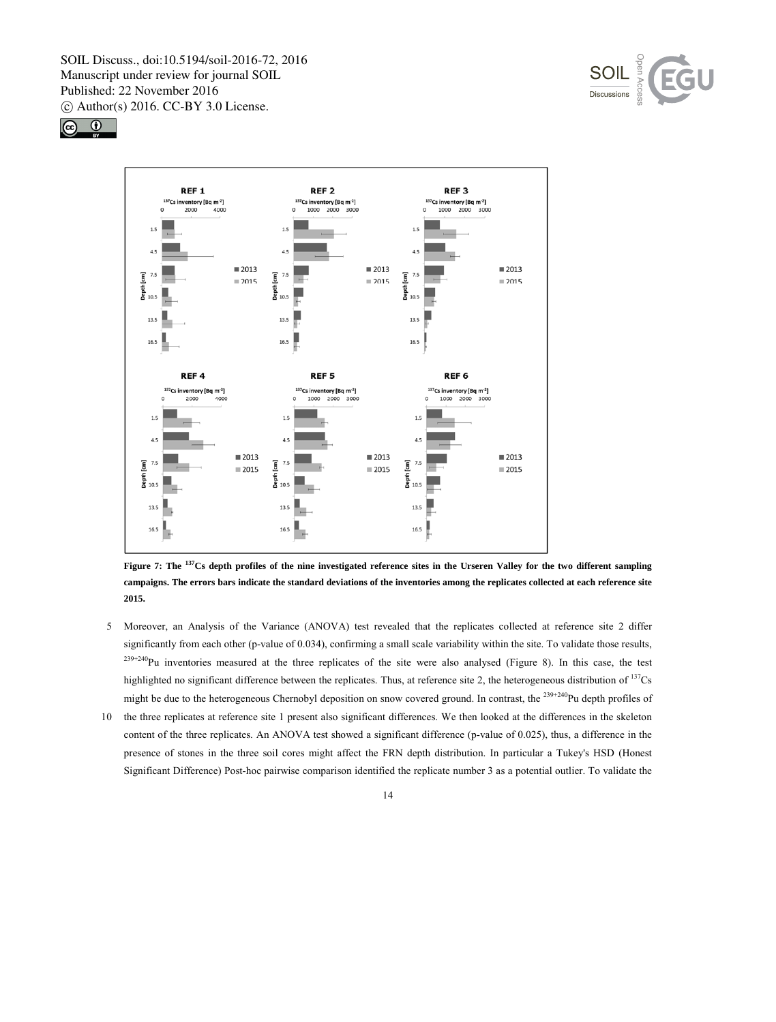





**Figure 7: The 137Cs depth profiles of the nine investigated reference sites in the Urseren Valley for the two different sampling campaigns. The errors bars indicate the standard deviations of the inventories among the replicates collected at each reference site 2015.** 

- 5 Moreover, an Analysis of the Variance (ANOVA) test revealed that the replicates collected at reference site 2 differ significantly from each other (p-value of 0.034), confirming a small scale variability within the site. To validate those results,  $239+240$ Pu inventories measured at the three replicates of the site were also analysed (Figure 8). In this case, the test highlighted no significant difference between the replicates. Thus, at reference site 2, the heterogeneous distribution of <sup>137</sup>Cs might be due to the heterogeneous Chernobyl deposition on snow covered ground. In contrast, the  $^{239+240}$ Pu depth profiles of
- 10 the three replicates at reference site 1 present also significant differences. We then looked at the differences in the skeleton content of the three replicates. An ANOVA test showed a significant difference (p-value of 0.025), thus, a difference in the presence of stones in the three soil cores might affect the FRN depth distribution. In particular a Tukey's HSD (Honest Significant Difference) Post-hoc pairwise comparison identified the replicate number 3 as a potential outlier. To validate the

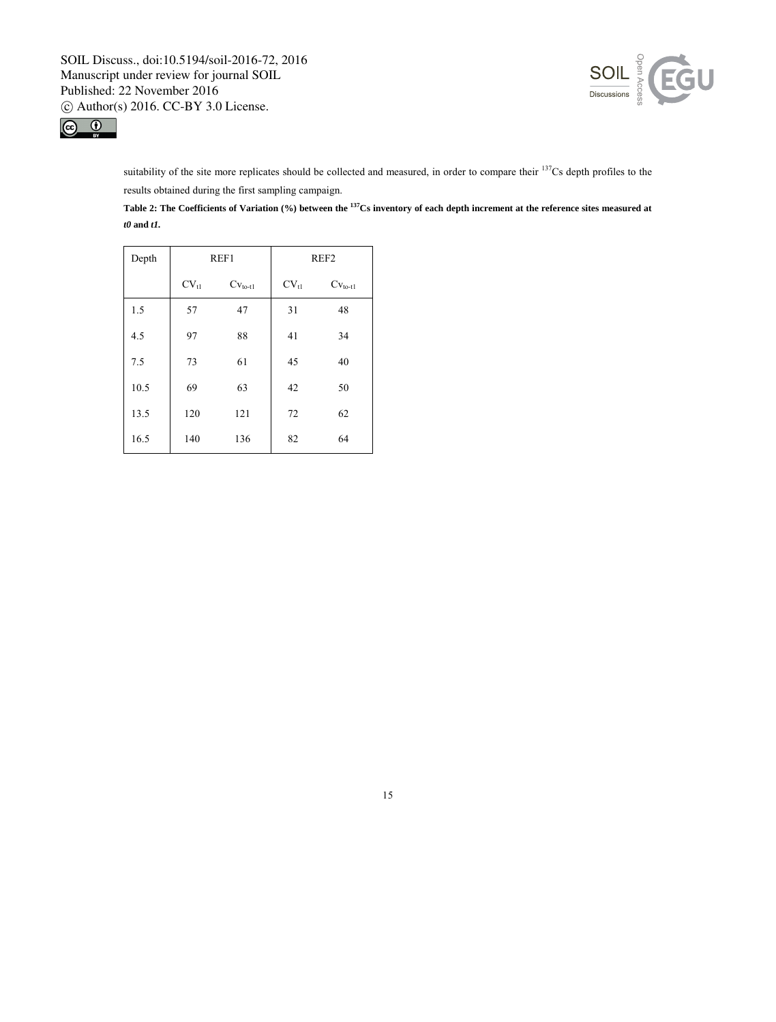



suitability of the site more replicates should be collected and measured, in order to compare their <sup>137</sup>Cs depth profiles to the results obtained during the first sampling campaign.

**Table 2: The Coefficients of Variation (%) between the 137Cs inventory of each depth increment at the reference sites measured at**  *t0* **and** *t1.*

| Depth | REF1      |                    | REF <sub>2</sub> |                    |
|-------|-----------|--------------------|------------------|--------------------|
|       | $CV_{t1}$ | $Cv_{\text{to-1}}$ | $CV_{tl}$        | $Cv_{\text{to-1}}$ |
| 1.5   | 57        | 47                 | 31               | 48                 |
| 4.5   | 97        | 88                 | 41               | 34                 |
| 7.5   | 73        | 61                 | 45               | 40                 |
| 10.5  | 69        | 63                 | 42               | 50                 |
| 13.5  | 120       | 121                | 72               | 62                 |
| 16.5  | 140       | 136                | 82               | 64                 |

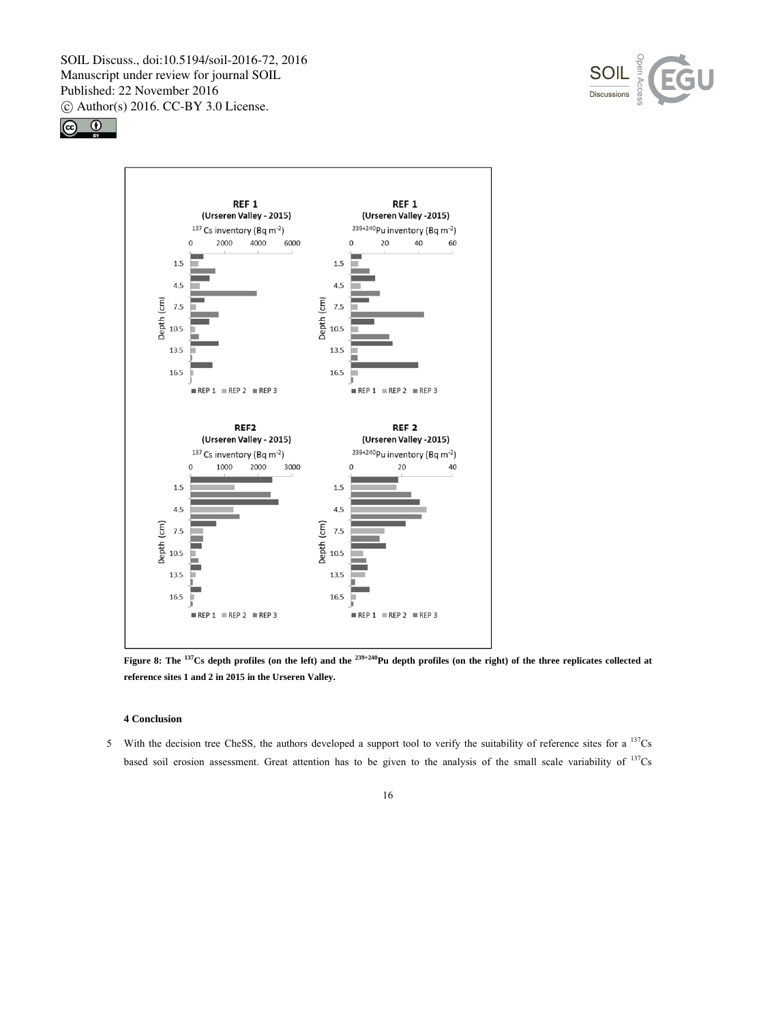





**Figure 8: The <sup>137</sup>Cs depth profiles (on the left) and the <sup>239+240</sup>Pu depth profiles (on the right) of the three replicates collected at reference sites 1 and 2 in 2015 in the Urseren Valley.** 

## **4 Conclusion**

5 With the decision tree CheSS, the authors developed a support tool to verify the suitability of reference sites for a  $137$ Cs based soil erosion assessment. Great attention has to be given to the analysis of the small scale variability of <sup>137</sup>Cs

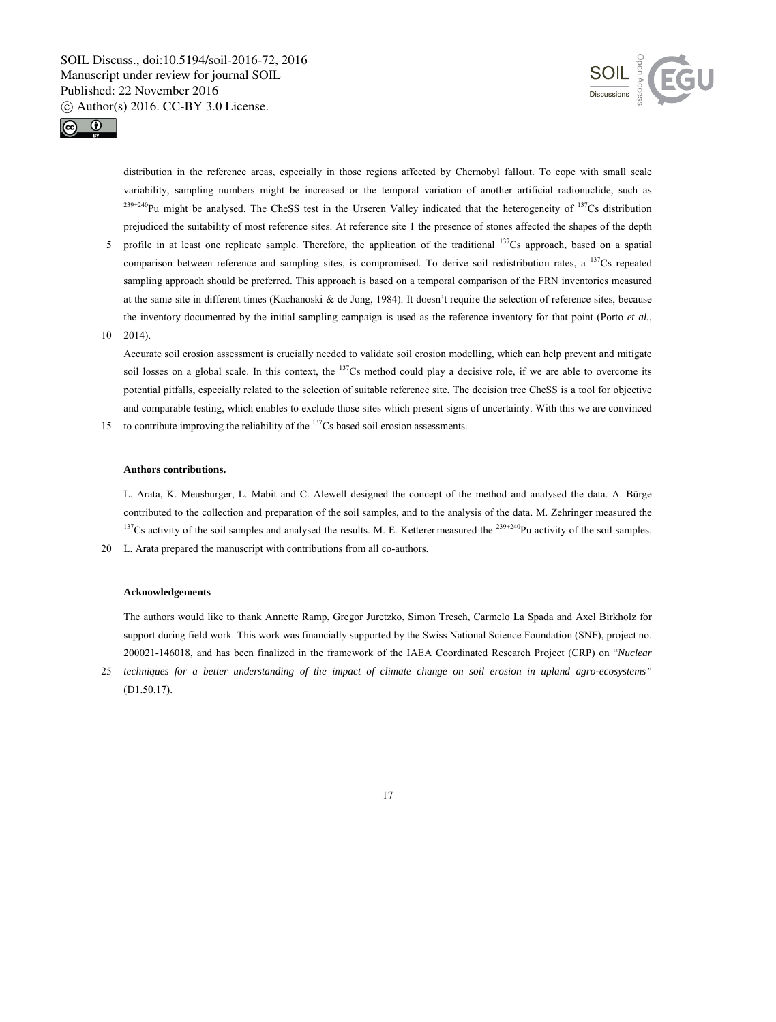



distribution in the reference areas, especially in those regions affected by Chernobyl fallout. To cope with small scale variability, sampling numbers might be increased or the temporal variation of another artificial radionuclide, such as  $^{239+240}$ Pu might be analysed. The CheSS test in the Urseren Valley indicated that the heterogeneity of  $^{137}$ Cs distribution prejudiced the suitability of most reference sites. At reference site 1 the presence of stones affected the shapes of the depth

- 5 profile in at least one replicate sample. Therefore, the application of the traditional <sup>137</sup>Cs approach, based on a spatial comparison between reference and sampling sites, is compromised. To derive soil redistribution rates, a <sup>137</sup>Cs repeated sampling approach should be preferred. This approach is based on a temporal comparison of the FRN inventories measured at the same site in different times (Kachanoski & de Jong, 1984). It doesn't require the selection of reference sites, because the inventory documented by the initial sampling campaign is used as the reference inventory for that point (Porto *et al.*,
- 10 2014).

Accurate soil erosion assessment is crucially needed to validate soil erosion modelling, which can help prevent and mitigate soil losses on a global scale. In this context, the  $137Cs$  method could play a decisive role, if we are able to overcome its potential pitfalls, especially related to the selection of suitable reference site. The decision tree CheSS is a tool for objective and comparable testing, which enables to exclude those sites which present signs of uncertainty. With this we are convinced

15 to contribute improving the reliability of the  $137$ Cs based soil erosion assessments.

#### **Authors contributions.**

L. Arata, K. Meusburger, L. Mabit and C. Alewell designed the concept of the method and analysed the data. A. Bürge contributed to the collection and preparation of the soil samples, and to the analysis of the data. M. Zehringer measured the  $137$ Cs activity of the soil samples and analysed the results. M. E. Ketterer measured the  $239+240$ Pu activity of the soil samples.

20 L. Arata prepared the manuscript with contributions from all co-authors.

#### **Acknowledgements**

The authors would like to thank Annette Ramp, Gregor Juretzko, Simon Tresch, Carmelo La Spada and Axel Birkholz for support during field work. This work was financially supported by the Swiss National Science Foundation (SNF), project no. 200021-146018, and has been finalized in the framework of the IAEA Coordinated Research Project (CRP) on "*Nuclear* 

25 *techniques for a better understanding of the impact of climate change on soil erosion in upland agro-ecosystems"* (D1.50.17).

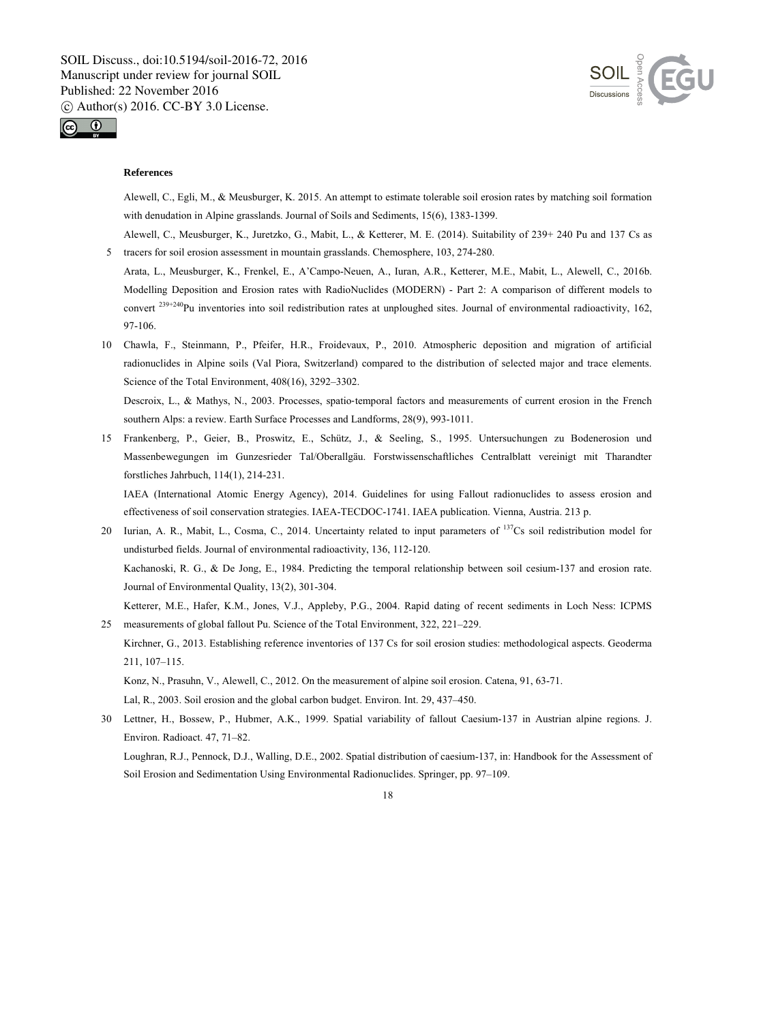



#### **References**

Alewell, C., Egli, M., & Meusburger, K. 2015. An attempt to estimate tolerable soil erosion rates by matching soil formation with denudation in Alpine grasslands. Journal of Soils and Sediments, 15(6), 1383-1399.

Alewell, C., Meusburger, K., Juretzko, G., Mabit, L., & Ketterer, M. E. (2014). Suitability of 239+ 240 Pu and 137 Cs as 5 tracers for soil erosion assessment in mountain grasslands. Chemosphere, 103, 274-280.

Arata, L., Meusburger, K., Frenkel, E., A'Campo-Neuen, A., Iuran, A.R., Ketterer, M.E., Mabit, L., Alewell, C., 2016b. Modelling Deposition and Erosion rates with RadioNuclides (MODERN) - Part 2: A comparison of different models to convert <sup>239+240</sup>Pu inventories into soil redistribution rates at unploughed sites. Journal of environmental radioactivity, 162, 97-106.

10 Chawla, F., Steinmann, P., Pfeifer, H.R., Froidevaux, P., 2010. Atmospheric deposition and migration of artificial radionuclides in Alpine soils (Val Piora, Switzerland) compared to the distribution of selected major and trace elements. Science of the Total Environment, 408(16), 3292–3302.

Descroix, L., & Mathys, N., 2003. Processes, spatio-temporal factors and measurements of current erosion in the French southern Alps: a review. Earth Surface Processes and Landforms, 28(9), 993-1011.

15 Frankenberg, P., Geier, B., Proswitz, E., Schütz, J., & Seeling, S., 1995. Untersuchungen zu Bodenerosion und Massenbewegungen im Gunzesrieder Tal/Oberallgäu. Forstwissenschaftliches Centralblatt vereinigt mit Tharandter forstliches Jahrbuch, 114(1), 214-231.

IAEA (International Atomic Energy Agency), 2014. Guidelines for using Fallout radionuclides to assess erosion and effectiveness of soil conservation strategies. IAEA-TECDOC-1741. IAEA publication. Vienna, Austria. 213 p.

- 20 Iurian, A. R., Mabit, L., Cosma, C., 2014. Uncertainty related to input parameters of <sup>137</sup>Cs soil redistribution model for undisturbed fields. Journal of environmental radioactivity, 136, 112-120. Kachanoski, R. G., & De Jong, E., 1984. Predicting the temporal relationship between soil cesium-137 and erosion rate. Journal of Environmental Quality, 13(2), 301-304. Ketterer, M.E., Hafer, K.M., Jones, V.J., Appleby, P.G., 2004. Rapid dating of recent sediments in Loch Ness: ICPMS
- 25 measurements of global fallout Pu. Science of the Total Environment, 322, 221–229. Kirchner, G., 2013. Establishing reference inventories of 137 Cs for soil erosion studies: methodological aspects. Geoderma 211, 107–115.

Konz, N., Prasuhn, V., Alewell, C., 2012. On the measurement of alpine soil erosion. Catena, 91, 63-71.

Lal, R., 2003. Soil erosion and the global carbon budget. Environ. Int. 29, 437–450.

30 Lettner, H., Bossew, P., Hubmer, A.K., 1999. Spatial variability of fallout Caesium-137 in Austrian alpine regions. J. Environ. Radioact. 47, 71–82.

Loughran, R.J., Pennock, D.J., Walling, D.E., 2002. Spatial distribution of caesium-137, in: Handbook for the Assessment of Soil Erosion and Sedimentation Using Environmental Radionuclides. Springer, pp. 97–109.